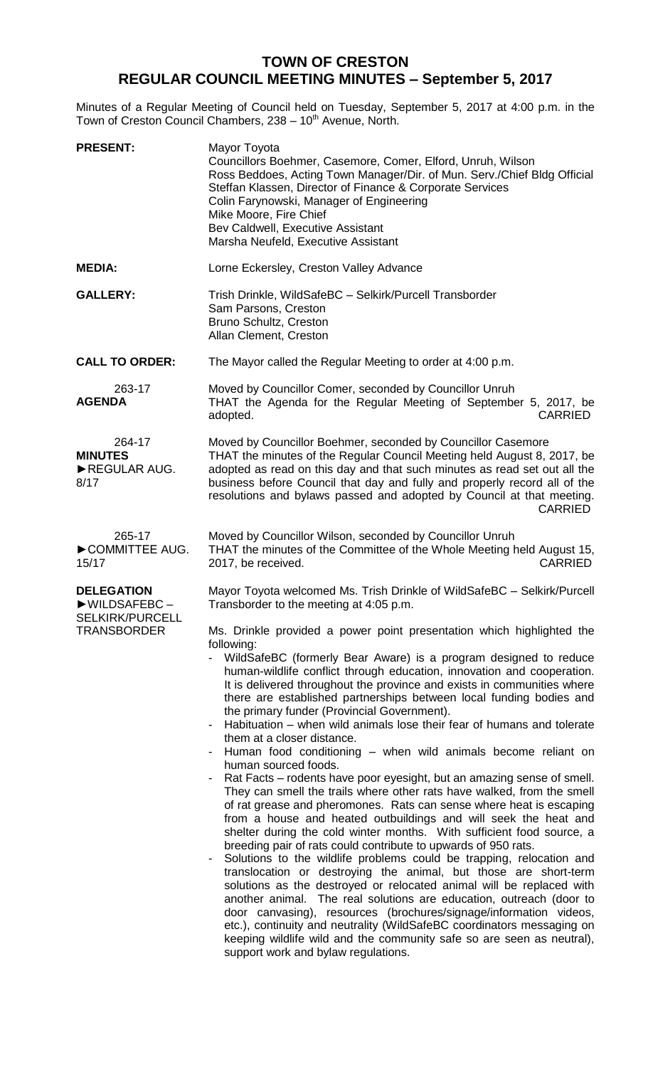## **TOWN OF CRESTON REGULAR COUNCIL MEETING MINUTES – September 5, 2017**

Minutes of a Regular Meeting of Council held on Tuesday, September 5, 2017 at 4:00 p.m. in the Town of Creston Council Chambers, 238 - 10<sup>th</sup> Avenue, North.

| <b>PRESENT:</b>                                                            | Mayor Toyota<br>Councillors Boehmer, Casemore, Comer, Elford, Unruh, Wilson<br>Ross Beddoes, Acting Town Manager/Dir. of Mun. Serv./Chief Bldg Official<br>Steffan Klassen, Director of Finance & Corporate Services<br>Colin Farynowski, Manager of Engineering<br>Mike Moore, Fire Chief<br>Bev Caldwell, Executive Assistant<br>Marsha Neufeld, Executive Assistant                                                                                                                                                                                                                                                                                                                                                                                                                                                                                                                                                                                                                                                                                                                                                                                                                                                                                                                                                                                                                                                                                                                                                                                                                                                                                                                                                                                       |
|----------------------------------------------------------------------------|--------------------------------------------------------------------------------------------------------------------------------------------------------------------------------------------------------------------------------------------------------------------------------------------------------------------------------------------------------------------------------------------------------------------------------------------------------------------------------------------------------------------------------------------------------------------------------------------------------------------------------------------------------------------------------------------------------------------------------------------------------------------------------------------------------------------------------------------------------------------------------------------------------------------------------------------------------------------------------------------------------------------------------------------------------------------------------------------------------------------------------------------------------------------------------------------------------------------------------------------------------------------------------------------------------------------------------------------------------------------------------------------------------------------------------------------------------------------------------------------------------------------------------------------------------------------------------------------------------------------------------------------------------------------------------------------------------------------------------------------------------------|
| <b>MEDIA:</b>                                                              | Lorne Eckersley, Creston Valley Advance                                                                                                                                                                                                                                                                                                                                                                                                                                                                                                                                                                                                                                                                                                                                                                                                                                                                                                                                                                                                                                                                                                                                                                                                                                                                                                                                                                                                                                                                                                                                                                                                                                                                                                                      |
| <b>GALLERY:</b>                                                            | Trish Drinkle, WildSafeBC - Selkirk/Purcell Transborder<br>Sam Parsons, Creston<br>Bruno Schultz, Creston<br>Allan Clement, Creston                                                                                                                                                                                                                                                                                                                                                                                                                                                                                                                                                                                                                                                                                                                                                                                                                                                                                                                                                                                                                                                                                                                                                                                                                                                                                                                                                                                                                                                                                                                                                                                                                          |
| <b>CALL TO ORDER:</b>                                                      | The Mayor called the Regular Meeting to order at 4:00 p.m.                                                                                                                                                                                                                                                                                                                                                                                                                                                                                                                                                                                                                                                                                                                                                                                                                                                                                                                                                                                                                                                                                                                                                                                                                                                                                                                                                                                                                                                                                                                                                                                                                                                                                                   |
| 263-17<br><b>AGENDA</b>                                                    | Moved by Councillor Comer, seconded by Councillor Unruh<br>THAT the Agenda for the Regular Meeting of September 5, 2017, be<br><b>CARRIED</b><br>adopted.                                                                                                                                                                                                                                                                                                                                                                                                                                                                                                                                                                                                                                                                                                                                                                                                                                                                                                                                                                                                                                                                                                                                                                                                                                                                                                                                                                                                                                                                                                                                                                                                    |
| 264-17<br><b>MINUTES</b><br>REGULAR AUG.<br>8/17                           | Moved by Councillor Boehmer, seconded by Councillor Casemore<br>THAT the minutes of the Regular Council Meeting held August 8, 2017, be<br>adopted as read on this day and that such minutes as read set out all the<br>business before Council that day and fully and properly record all of the<br>resolutions and bylaws passed and adopted by Council at that meeting.<br><b>CARRIED</b>                                                                                                                                                                                                                                                                                                                                                                                                                                                                                                                                                                                                                                                                                                                                                                                                                                                                                                                                                                                                                                                                                                                                                                                                                                                                                                                                                                 |
| 265-17<br>COMMITTEE AUG.<br>15/17                                          | Moved by Councillor Wilson, seconded by Councillor Unruh<br>THAT the minutes of the Committee of the Whole Meeting held August 15,<br><b>CARRIED</b><br>2017, be received.                                                                                                                                                                                                                                                                                                                                                                                                                                                                                                                                                                                                                                                                                                                                                                                                                                                                                                                                                                                                                                                                                                                                                                                                                                                                                                                                                                                                                                                                                                                                                                                   |
| <b>DELEGATION</b><br>▶WILDSAFEBC-<br><b>SELKIRK/PURCELL</b><br>TRANSBORDER | Mayor Toyota welcomed Ms. Trish Drinkle of WildSafeBC - Selkirk/Purcell<br>Transborder to the meeting at 4:05 p.m.<br>Ms. Drinkle provided a power point presentation which highlighted the<br>following:<br>WildSafeBC (formerly Bear Aware) is a program designed to reduce<br>human-wildlife conflict through education, innovation and cooperation.<br>It is delivered throughout the province and exists in communities where<br>there are established partnerships between local funding bodies and<br>the primary funder (Provincial Government).<br>Habituation – when wild animals lose their fear of humans and tolerate<br>them at a closer distance.<br>Human food conditioning - when wild animals become reliant on<br>human sourced foods.<br>Rat Facts – rodents have poor eyesight, but an amazing sense of smell.<br>They can smell the trails where other rats have walked, from the smell<br>of rat grease and pheromones. Rats can sense where heat is escaping<br>from a house and heated outbuildings and will seek the heat and<br>shelter during the cold winter months. With sufficient food source, a<br>breeding pair of rats could contribute to upwards of 950 rats.<br>Solutions to the wildlife problems could be trapping, relocation and<br>translocation or destroying the animal, but those are short-term<br>solutions as the destroyed or relocated animal will be replaced with<br>another animal. The real solutions are education, outreach (door to<br>door canvasing), resources (brochures/signage/information videos,<br>etc.), continuity and neutrality (WildSafeBC coordinators messaging on<br>keeping wildlife wild and the community safe so are seen as neutral),<br>support work and bylaw regulations. |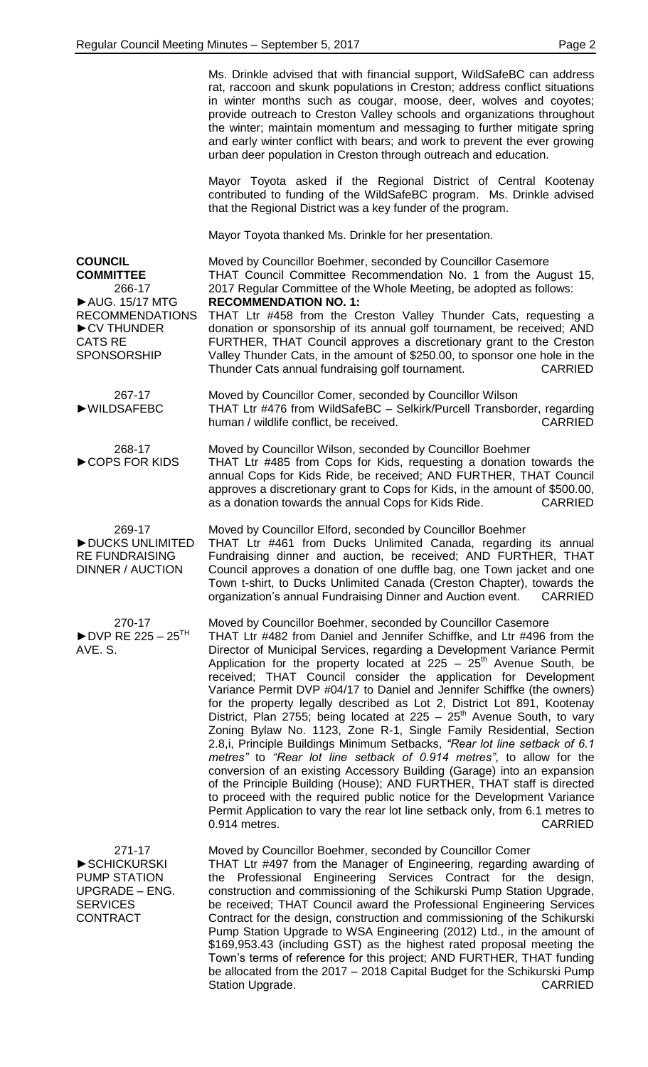Ms. Drinkle advised that with financial support, WildSafeBC can address rat, raccoon and skunk populations in Creston; address conflict situations in winter months such as cougar, moose, deer, wolves and coyotes; provide outreach to Creston Valley schools and organizations throughout the winter; maintain momentum and messaging to further mitigate spring and early winter conflict with bears; and work to prevent the ever growing urban deer population in Creston through outreach and education.

Mayor Toyota asked if the Regional District of Central Kootenay contributed to funding of the WildSafeBC program. Ms. Drinkle advised that the Regional District was a key funder of the program.

Mayor Toyota thanked Ms. Drinkle for her presentation.

**COUNCIL COMMITTEE** 266-17 ►AUG. 15/17 MTG RECOMMENDATIONS ►CV THUNDER CATS RE SPONSORSHIP Moved by Councillor Boehmer, seconded by Councillor Casemore THAT Council Committee Recommendation No. 1 from the August 15, 2017 Regular Committee of the Whole Meeting, be adopted as follows: **RECOMMENDATION NO. 1:** THAT Ltr #458 from the Creston Valley Thunder Cats, requesting a donation or sponsorship of its annual golf tournament, be received; AND FURTHER, THAT Council approves a discretionary grant to the Creston Valley Thunder Cats, in the amount of \$250.00, to sponsor one hole in the Thunder Cats annual fundraising golf tournament. CARRIED 267-17 ►WILDSAFEBC Moved by Councillor Comer, seconded by Councillor Wilson THAT Ltr #476 from WildSafeBC – Selkirk/Purcell Transborder, regarding human / wildlife conflict, be received. The context of the CARRIED 268-17 ►COPS FOR KIDS Moved by Councillor Wilson, seconded by Councillor Boehmer THAT Ltr #485 from Cops for Kids, requesting a donation towards the annual Cops for Kids Ride, be received; AND FURTHER, THAT Council approves a discretionary grant to Cops for Kids, in the amount of \$500.00, as a donation towards the annual Cops for Kids Ride. CARRIED 269-17 ►DUCKS UNLIMITED RE FUNDRAISING DINNER / AUCTION Moved by Councillor Elford, seconded by Councillor Boehmer THAT Ltr #461 from Ducks Unlimited Canada, regarding its annual Fundraising dinner and auction, be received; AND FURTHER, THAT Council approves a donation of one duffle bag, one Town jacket and one Town t-shirt, to Ducks Unlimited Canada (Creston Chapter), towards the organization's annual Fundraising Dinner and Auction event. CARRIED 270-17  $\blacktriangleright$  DVP RE 225 – 25<sup>TH</sup> AVE. S. Moved by Councillor Boehmer, seconded by Councillor Casemore THAT Ltr #482 from Daniel and Jennifer Schiffke, and Ltr #496 from the Director of Municipal Services, regarding a Development Variance Permit Application for the property located at 225 –  $25<sup>th</sup>$  Avenue South, be received; THAT Council consider the application for Development Variance Permit DVP #04/17 to Daniel and Jennifer Schiffke (the owners) for the property legally described as Lot 2, District Lot 891, Kootenay District, Plan 2755; being located at 225 – 25<sup>th</sup> Avenue South, to vary Zoning Bylaw No. 1123, Zone R-1, Single Family Residential, Section 2.8,i, Principle Buildings Minimum Setbacks, *"Rear lot line setback of 6.1 metres"* to *"Rear lot line setback of 0.914 metres"*, to allow for the conversion of an existing Accessory Building (Garage) into an expansion of the Principle Building (House); AND FURTHER, THAT staff is directed to proceed with the required public notice for the Development Variance Permit Application to vary the rear lot line setback only, from 6.1 metres to 0.914 metres. CARRIED

271-17 ►SCHICKURSKI PUMP STATION UPGRADE – ENG. **SERVICES CONTRACT** 

Moved by Councillor Boehmer, seconded by Councillor Comer

THAT Ltr #497 from the Manager of Engineering, regarding awarding of the Professional Engineering Services Contract for the design, construction and commissioning of the Schikurski Pump Station Upgrade, be received; THAT Council award the Professional Engineering Services Contract for the design, construction and commissioning of the Schikurski Pump Station Upgrade to WSA Engineering (2012) Ltd., in the amount of \$169,953.43 (including GST) as the highest rated proposal meeting the Town's terms of reference for this project; AND FURTHER, THAT funding be allocated from the 2017 – 2018 Capital Budget for the Schikurski Pump Station Upgrade. **CARRIED**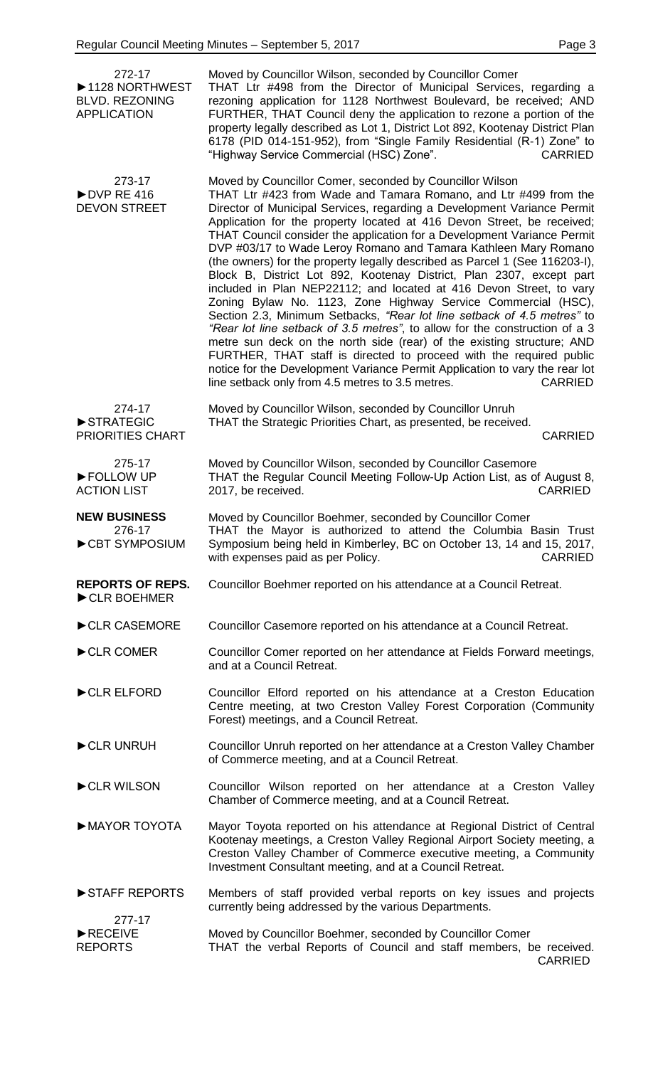| 272-17<br>▶ 1128 NORTHWEST<br><b>BLVD. REZONING</b><br><b>APPLICATION</b> | Moved by Councillor Wilson, seconded by Councillor Comer<br>THAT Ltr #498 from the Director of Municipal Services, regarding a<br>rezoning application for 1128 Northwest Boulevard, be received; AND<br>FURTHER, THAT Council deny the application to rezone a portion of the<br>property legally described as Lot 1, District Lot 892, Kootenay District Plan<br>6178 (PID 014-151-952), from "Single Family Residential (R-1) Zone" to<br>"Highway Service Commercial (HSC) Zone".<br><b>CARRIED</b>                                                                                                                                                                                                                                                                                                                                                                                                                                                                                                                                                                                                                                                                                        |
|---------------------------------------------------------------------------|------------------------------------------------------------------------------------------------------------------------------------------------------------------------------------------------------------------------------------------------------------------------------------------------------------------------------------------------------------------------------------------------------------------------------------------------------------------------------------------------------------------------------------------------------------------------------------------------------------------------------------------------------------------------------------------------------------------------------------------------------------------------------------------------------------------------------------------------------------------------------------------------------------------------------------------------------------------------------------------------------------------------------------------------------------------------------------------------------------------------------------------------------------------------------------------------|
| 273-17<br>$\rightharpoonup$ DVP RE 416<br><b>DEVON STREET</b>             | Moved by Councillor Comer, seconded by Councillor Wilson<br>THAT Ltr #423 from Wade and Tamara Romano, and Ltr #499 from the<br>Director of Municipal Services, regarding a Development Variance Permit<br>Application for the property located at 416 Devon Street, be received;<br>THAT Council consider the application for a Development Variance Permit<br>DVP #03/17 to Wade Leroy Romano and Tamara Kathleen Mary Romano<br>(the owners) for the property legally described as Parcel 1 (See 116203-I),<br>Block B, District Lot 892, Kootenay District, Plan 2307, except part<br>included in Plan NEP22112; and located at 416 Devon Street, to vary<br>Zoning Bylaw No. 1123, Zone Highway Service Commercial (HSC),<br>Section 2.3, Minimum Setbacks, "Rear lot line setback of 4.5 metres" to<br>"Rear lot line setback of 3.5 metres", to allow for the construction of a 3<br>metre sun deck on the north side (rear) of the existing structure; AND<br>FURTHER, THAT staff is directed to proceed with the required public<br>notice for the Development Variance Permit Application to vary the rear lot<br>line setback only from 4.5 metres to 3.5 metres.<br><b>CARRIED</b> |
| 274-17<br>STRATEGIC<br>PRIORITIES CHART                                   | Moved by Councillor Wilson, seconded by Councillor Unruh<br>THAT the Strategic Priorities Chart, as presented, be received.<br><b>CARRIED</b>                                                                                                                                                                                                                                                                                                                                                                                                                                                                                                                                                                                                                                                                                                                                                                                                                                                                                                                                                                                                                                                  |
| 275-17<br>FOLLOW UP<br><b>ACTION LIST</b>                                 | Moved by Councillor Wilson, seconded by Councillor Casemore<br>THAT the Regular Council Meeting Follow-Up Action List, as of August 8,<br><b>CARRIED</b><br>2017, be received.                                                                                                                                                                                                                                                                                                                                                                                                                                                                                                                                                                                                                                                                                                                                                                                                                                                                                                                                                                                                                 |
| <b>NEW BUSINESS</b><br>276-17<br>CBT SYMPOSIUM                            | Moved by Councillor Boehmer, seconded by Councillor Comer<br>THAT the Mayor is authorized to attend the Columbia Basin Trust<br>Symposium being held in Kimberley, BC on October 13, 14 and 15, 2017,<br><b>CARRIED</b><br>with expenses paid as per Policy.                                                                                                                                                                                                                                                                                                                                                                                                                                                                                                                                                                                                                                                                                                                                                                                                                                                                                                                                   |
| <b>REPORTS OF REPS.</b><br>CLR BOEHMER                                    | Councillor Boehmer reported on his attendance at a Council Retreat.                                                                                                                                                                                                                                                                                                                                                                                                                                                                                                                                                                                                                                                                                                                                                                                                                                                                                                                                                                                                                                                                                                                            |
| CLR CASEMORE                                                              | Councillor Casemore reported on his attendance at a Council Retreat.                                                                                                                                                                                                                                                                                                                                                                                                                                                                                                                                                                                                                                                                                                                                                                                                                                                                                                                                                                                                                                                                                                                           |
| CLR COMER                                                                 | Councillor Comer reported on her attendance at Fields Forward meetings,<br>and at a Council Retreat.                                                                                                                                                                                                                                                                                                                                                                                                                                                                                                                                                                                                                                                                                                                                                                                                                                                                                                                                                                                                                                                                                           |
| CLR ELFORD                                                                | Councillor Elford reported on his attendance at a Creston Education<br>Centre meeting, at two Creston Valley Forest Corporation (Community<br>Forest) meetings, and a Council Retreat.                                                                                                                                                                                                                                                                                                                                                                                                                                                                                                                                                                                                                                                                                                                                                                                                                                                                                                                                                                                                         |
| CLR UNRUH                                                                 | Councillor Unruh reported on her attendance at a Creston Valley Chamber<br>of Commerce meeting, and at a Council Retreat.                                                                                                                                                                                                                                                                                                                                                                                                                                                                                                                                                                                                                                                                                                                                                                                                                                                                                                                                                                                                                                                                      |
| CLR WILSON                                                                | Councillor Wilson reported on her attendance at a Creston Valley<br>Chamber of Commerce meeting, and at a Council Retreat.                                                                                                                                                                                                                                                                                                                                                                                                                                                                                                                                                                                                                                                                                                                                                                                                                                                                                                                                                                                                                                                                     |
| MAYOR TOYOTA                                                              | Mayor Toyota reported on his attendance at Regional District of Central<br>Kootenay meetings, a Creston Valley Regional Airport Society meeting, a<br>Creston Valley Chamber of Commerce executive meeting, a Community<br>Investment Consultant meeting, and at a Council Retreat.                                                                                                                                                                                                                                                                                                                                                                                                                                                                                                                                                                                                                                                                                                                                                                                                                                                                                                            |
| STAFF REPORTS                                                             | Members of staff provided verbal reports on key issues and projects<br>currently being addressed by the various Departments.                                                                                                                                                                                                                                                                                                                                                                                                                                                                                                                                                                                                                                                                                                                                                                                                                                                                                                                                                                                                                                                                   |
| 277-17<br>$\blacktriangleright$ RECEIVE<br><b>REPORTS</b>                 | Moved by Councillor Boehmer, seconded by Councillor Comer<br>THAT the verbal Reports of Council and staff members, be received.<br><b>CARRIED</b>                                                                                                                                                                                                                                                                                                                                                                                                                                                                                                                                                                                                                                                                                                                                                                                                                                                                                                                                                                                                                                              |